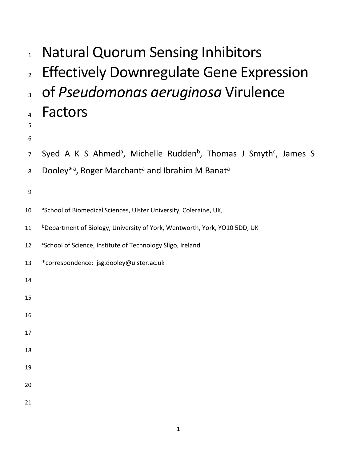| $\mathbf{1}$   | <b>Natural Quorum Sensing Inhibitors</b>                                                             |
|----------------|------------------------------------------------------------------------------------------------------|
| $\overline{2}$ | <b>Effectively Downregulate Gene Expression</b>                                                      |
| $\overline{3}$ | of Pseudomonas aeruginosa Virulence                                                                  |
| 4<br>5<br>6    | <b>Factors</b>                                                                                       |
| $\overline{7}$ | Syed A K S Ahmed <sup>a</sup> , Michelle Rudden <sup>b</sup> , Thomas J Smyth <sup>c</sup> , James S |
| 8              | Dooley* <sup>a</sup> , Roger Marchant <sup>a</sup> and Ibrahim M Banat <sup>a</sup>                  |
| 9              |                                                                                                      |
| 10             | <sup>a</sup> School of Biomedical Sciences, Ulster University, Coleraine, UK,                        |
| 11             | <sup>b</sup> Department of Biology, University of York, Wentworth, York, YO10 5DD, UK                |
| 12             | <sup>c</sup> School of Science, Institute of Technology Sligo, Ireland                               |
| 13             | *correspondence: jsg.dooley@ulster.ac.uk                                                             |
| 14             |                                                                                                      |
| 15             |                                                                                                      |
| 16             |                                                                                                      |
| 17             |                                                                                                      |
| 18             |                                                                                                      |
| 19             |                                                                                                      |
| 20             |                                                                                                      |
| 21             |                                                                                                      |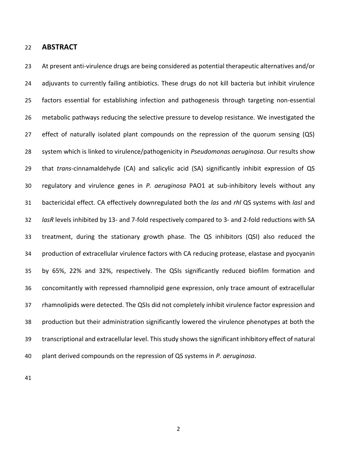#### **ABSTRACT**

23 At present anti-virulence drugs are being considered as potential therapeutic alternatives and/or 24 adjuvants to currently failing antibiotics. These drugs do not kill bacteria but inhibit virulence factors essential for establishing infection and pathogenesis through targeting non-essential metabolic pathways reducing the selective pressure to develop resistance. We investigated the effect of naturally isolated plant compounds on the repression of the quorum sensing (QS) system which is linked to virulence/pathogenicity in *Pseudomonas aeruginosa*. Our results show that *trans*-cinnamaldehyde (CA) and salicylic acid (SA) significantly inhibit expression of QS regulatory and virulence genes in *P. aeruginosa* PAO1 at sub-inhibitory levels without any bactericidal effect. CA effectively downregulated both the *las* and *rhl* QS systems with *lasI* and *lasR* levels inhibited by 13- and 7-fold respectively compared to 3- and 2-fold reductions with SA treatment, during the stationary growth phase. The QS inhibitors (QSI) also reduced the production of extracellular virulence factors with CA reducing protease, elastase and pyocyanin by 65%, 22% and 32%, respectively. The QSIs significantly reduced biofilm formation and concomitantly with repressed rhamnolipid gene expression, only trace amount of extracellular rhamnolipids were detected. The QSIs did not completely inhibit virulence factor expression and production but their administration significantly lowered the virulence phenotypes at both the transcriptional and extracellular level. This study shows the significant inhibitory effect of natural plant derived compounds on the repression of QS systems in *P. aeruginosa*.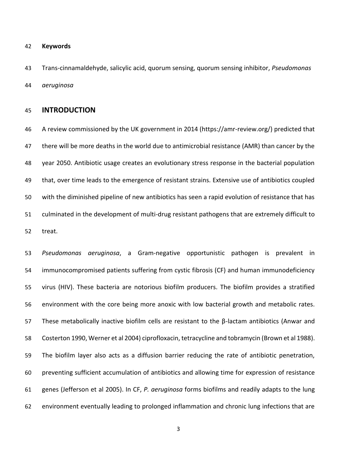#### **Keywords**

 Trans-cinnamaldehyde, salicylic acid, quorum sensing, quorum sensing inhibitor, *Pseudomonas aeruginosa*

# **INTRODUCTION**

 A review commissioned by the UK government in 2014 (https://amr-review.org/) predicted that there will be more deaths in the world due to antimicrobial resistance (AMR) than cancer by the year 2050. Antibiotic usage creates an evolutionary stress response in the bacterial population that, over time leads to the emergence of resistant strains. Extensive use of antibiotics coupled with the diminished pipeline of new antibiotics has seen a rapid evolution of resistance that has culminated in the development of multi-drug resistant pathogens that are extremely difficult to treat.

 *Pseudomonas aeruginosa*, a Gram-negative opportunistic pathogen is prevalent in immunocompromised patients suffering from cystic fibrosis (CF) and human immunodeficiency virus (HIV). These bacteria are notorious biofilm producers. The biofilm provides a stratified environment with the core being more anoxic with low bacterial growth and metabolic rates. These metabolically inactive biofilm cells are resistant to the β-lactam antibiotics (Anwar and Costerton 1990, Werner et al 2004) ciprofloxacin, tetracycline and tobramycin (Brown et al 1988). The biofilm layer also acts as a diffusion barrier reducing the rate of antibiotic penetration, preventing sufficient accumulation of antibiotics and allowing time for expression of resistance genes (Jefferson et al 2005). In CF, *P. aeruginosa* forms biofilms and readily adapts to the lung environment eventually leading to prolonged inflammation and chronic lung infections that are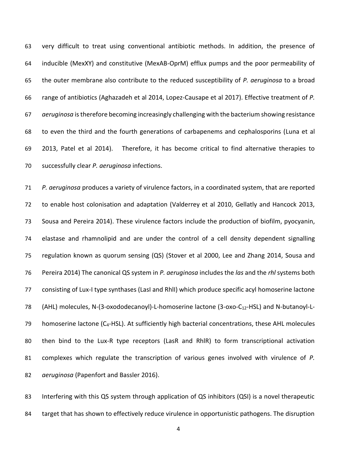very difficult to treat using conventional antibiotic methods. In addition, the presence of inducible (MexXY) and constitutive (MexAB-OprM) efflux pumps and the poor permeability of the outer membrane also contribute to the reduced susceptibility of *P. aeruginosa* to a broad range of antibiotics (Aghazadeh et al 2014, Lopez-Causape et al 2017). Effective treatment of *P. aeruginosa* is therefore becoming increasingly challenging with the bacterium showing resistance to even the third and the fourth generations of carbapenems and cephalosporins (Luna et al 2013, Patel et al 2014). Therefore, it has become critical to find alternative therapies to successfully clear *P. aeruginosa* infections.

 *P. aeruginosa* produces a variety of virulence factors, in a coordinated system, that are reported to enable host colonisation and adaptation (Valderrey et al 2010, Gellatly and Hancock 2013, Sousa and Pereira 2014). These virulence factors include the production of biofilm, pyocyanin, elastase and rhamnolipid and are under the control of a cell density dependent signalling regulation known as quorum sensing (QS) (Stover et al 2000, Lee and Zhang 2014, Sousa and Pereira 2014) The canonical QS system in *P. aeruginosa* includes the *las* and the *rhl* systems both consisting of Lux-I type synthases (LasI and RhlI) which produce specific acyl homoserine lactone 78 (AHL) molecules, N-(3-oxododecanoyl)-L-homoserine lactone (3-oxo-C<sub>12</sub>-HSL) and N-butanoyl-L-79 homoserine lactone  $(C_4$ -HSL). At sufficiently high bacterial concentrations, these AHL molecules then bind to the Lux-R type receptors (LasR and RhlR) to form transcriptional activation complexes which regulate the transcription of various genes involved with virulence of *P. aeruginosa* (Papenfort and Bassler 2016).

83 Interfering with this QS system through application of QS inhibitors (QSI) is a novel therapeutic 84 target that has shown to effectively reduce virulence in opportunistic pathogens. The disruption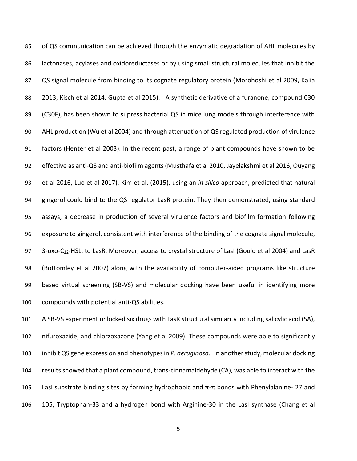of QS communication can be achieved through the enzymatic degradation of AHL molecules by lactonases, acylases and oxidoreductases or by using small structural molecules that inhibit the QS signal molecule from binding to its cognate regulatory protein (Morohoshi et al 2009, Kalia 2013, Kisch et al 2014, Gupta et al 2015). A synthetic derivative of a furanone, compound C30 (C30F), has been shown to supress bacterial QS in mice lung models through interference with AHL production (Wu et al 2004) and through attenuation of QS regulated production of virulence factors (Henter et al 2003). In the recent past, a range of plant compounds have shown to be effective as anti-QS and anti-biofilm agents (Musthafa et al 2010, Jayelakshmi et al 2016, Ouyang et al 2016, Luo et al 2017). Kim et al. (2015), using an *in silico* approach, predicted that natural gingerol could bind to the QS regulator LasR protein. They then demonstrated, using standard assays, a decrease in production of several virulence factors and biofilm formation following exposure to gingerol, consistent with interference of the binding of the cognate signal molecule, 97 3-oxo-C<sub>12</sub>-HSL, to LasR. Moreover, access to crystal structure of LasI (Gould et al 2004) and LasR (Bottomley et al 2007) along with the availability of computer-aided programs like structure based virtual screening (SB-VS) and molecular docking have been useful in identifying more compounds with potential anti-QS abilities.

 A SB-VS experiment unlocked six drugs with LasR structural similarity including salicylic acid (SA), nifuroxazide, and chlorzoxazone (Yang et al 2009). These compounds were able to significantly inhibit QS gene expression and phenotypes in *P. aeruginosa*. In another study, molecular docking results showed that a plant compound, trans-cinnamaldehyde (CA), was able to interact with the 105 LasI substrate binding sites by forming hydrophobic and  $π$ -π bonds with Phenylalanine- 27 and 105, Tryptophan-33 and a hydrogen bond with Arginine-30 in the LasI synthase (Chang et al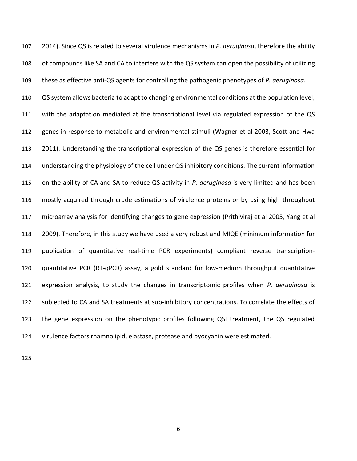2014). Since QS is related to several virulence mechanisms in *P. aeruginosa*, therefore the ability of compounds like SA and CA to interfere with the QS system can open the possibility of utilizing these as effective anti-QS agents for controlling the pathogenic phenotypes of *P. aeruginosa*.

 QS system allows bacteria to adapt to changing environmental conditions at the population level, with the adaptation mediated at the transcriptional level via regulated expression of the QS genes in response to metabolic and environmental stimuli (Wagner et al 2003, Scott and Hwa 2011). Understanding the transcriptional expression of the QS genes is therefore essential for understanding the physiology of the cell under QS inhibitory conditions. The current information on the ability of CA and SA to reduce QS activity in *P. aeruginosa* is very limited and has been mostly acquired through crude estimations of virulence proteins or by using high throughput microarray analysis for identifying changes to gene expression (Prithiviraj et al 2005, Yang et al 2009). Therefore, in this study we have used a very robust and MIQE (minimum information for publication of quantitative real-time PCR experiments) compliant reverse transcription- quantitative PCR (RT-qPCR) assay, a gold standard for low-medium throughput quantitative expression analysis, to study the changes in transcriptomic profiles when *P. aeruginosa* is subjected to CA and SA treatments at sub-inhibitory concentrations. To correlate the effects of the gene expression on the phenotypic profiles following QSI treatment, the QS regulated virulence factors rhamnolipid, elastase, protease and pyocyanin were estimated.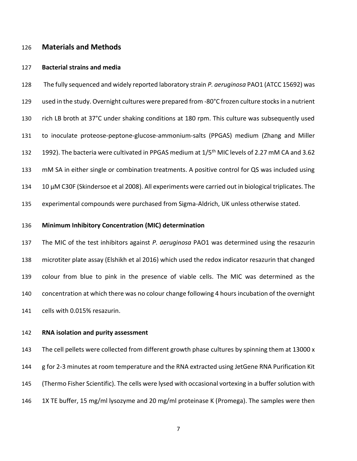#### **Materials and Methods**

#### **Bacterial strains and media**

 The fully sequenced and widely reported laboratory strain *P. aeruginosa* PAO1 (ATCC 15692) was used in the study. Overnight cultures were prepared from -80°C frozen culture stocks in a nutrient rich LB broth at 37°C under shaking conditions at 180 rpm. This culture was subsequently used to inoculate proteose-peptone-glucose-ammonium-salts (PPGAS) medium (Zhang and Miller 132 1992). The bacteria were cultivated in PPGAS medium at 1/5<sup>th</sup> MIC levels of 2.27 mM CA and 3.62 mM SA in either single or combination treatments. A positive control for QS was included using 134 10 µM C30F (Skindersoe et al 2008). All experiments were carried out in biological triplicates. The experimental compounds were purchased from Sigma-Aldrich, UK unless otherwise stated.

#### **Minimum Inhibitory Concentration (MIC) determination**

 The MIC of the test inhibitors against *P. aeruginosa* PAO1 was determined using the resazurin microtiter plate assay (Elshikh et al 2016) which used the redox indicator resazurin that changed colour from blue to pink in the presence of viable cells. The MIC was determined as the concentration at which there was no colour change following 4 hours incubation of the overnight cells with 0.015% resazurin.

### **RNA isolation and purity assessment**

143 The cell pellets were collected from different growth phase cultures by spinning them at 13000 x g for 2-3 minutes at room temperature and the RNA extracted using JetGene RNA Purification Kit (Thermo Fisher Scientific). The cells were lysed with occasional vortexing in a buffer solution with 146 1X TE buffer, 15 mg/ml lysozyme and 20 mg/ml proteinase K (Promega). The samples were then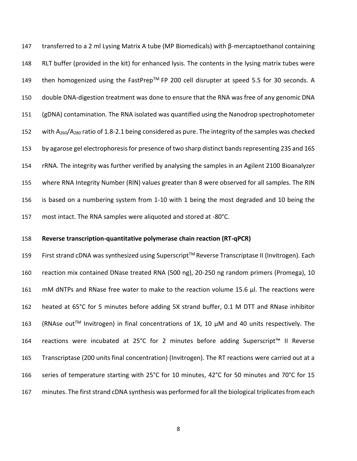transferred to a 2 ml Lysing Matrix A tube (MP Biomedicals) with β-mercaptoethanol containing RLT buffer (provided in the kit) for enhanced lysis. The contents in the lysing matrix tubes were 149 then homogenized using the FastPrep™ FP 200 cell disrupter at speed 5.5 for 30 seconds. A double DNA-digestion treatment was done to ensure that the RNA was free of any genomic DNA (gDNA) contamination. The RNA isolated was quantified using the Nanodrop spectrophotometer 152 with  $A_{260}/A_{280}$  ratio of 1.8-2.1 being considered as pure. The integrity of the samples was checked by agarose gel electrophoresis for presence of two sharp distinct bands representing 23S and 16S rRNA. The integrity was further verified by analysing the samples in an Agilent 2100 Bioanalyzer where RNA Integrity Number (RIN) values greater than 8 were observed for all samples. The RIN is based on a numbering system from 1-10 with 1 being the most degraded and 10 being the most intact. The RNA samples were aliquoted and stored at -80°C.

#### **Reverse transcription-quantitative polymerase chain reaction (RT-qPCR)**

159 First strand cDNA was synthesized using Superscript™ Reverse Transcriptase II (Invitrogen). Each reaction mix contained DNase treated RNA (500 ng), 20-250 ng random primers (Promega), 10 mM dNTPs and RNase free water to make to the reaction volume 15.6 μl. The reactions were heated at 65°C for 5 minutes before adding 5X strand buffer, 0.1 M DTT and RNase inhibitor 163 (RNAse out<sup>TM</sup> Invitrogen) in final concentrations of 1X, 10  $\mu$ M and 40 units respectively. The reactions were incubated at 25°C for 2 minutes before adding Superscript™ II Reverse Transcriptase (200 units final concentration) (Invitrogen). The RT reactions were carried out at a series of temperature starting with 25°C for 10 minutes, 42°C for 50 minutes and 70°C for 15 minutes. The first strand cDNA synthesis was performed for all the biological triplicates from each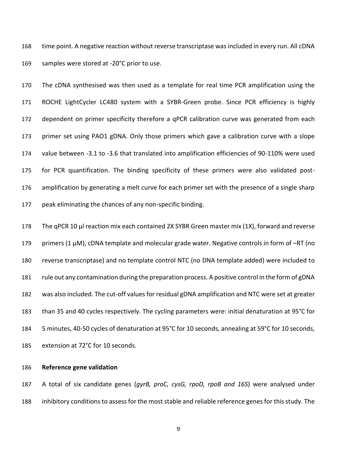time point. A negative reaction without reverse transcriptase was included in every run. All cDNA samples were stored at -20°C prior to use.

 The cDNA synthesised was then used as a template for real time PCR amplification using the ROCHE LightCycler LC480 system with a SYBR-Green probe. Since PCR efficiency is highly dependent on primer specificity therefore a qPCR calibration curve was generated from each primer set using PAO1 gDNA. Only those primers which gave a calibration curve with a slope value between -3.1 to -3.6 that translated into amplification efficiencies of 90-110% were used for PCR quantification. The binding specificity of these primers were also validated post-176 amplification by generating a melt curve for each primer set with the presence of a single sharp peak eliminating the chances of any non-specific binding.

178 The qPCR 10 µl reaction mix each contained 2X SYBR Green master mix (1X), forward and reverse 179 primers (1  $\mu$ M), cDNA template and molecular grade water. Negative controls in form of  $-RT$  (no reverse transcriptase) and no template control NTC (no DNA template added) were included to rule out any contamination during the preparation process. A positive control in the form of gDNA was also included. The cut-off values for residual gDNA amplification and NTC were set at greater than 35 and 40 cycles respectively. The cycling parameters were: initial denaturation at 95°C for 5 minutes, 40-50 cycles of denaturation at 95°C for 10 seconds, annealing at 59°C for 10 seconds, extension at 72°C for 10 seconds.

### **Reference gene validation**

 A total of six candidate genes (*gyrB, proC, cysG, rpoD, rpoB and 16S*) were analysed under inhibitory conditions to assess for the most stable and reliable reference genes for this study. The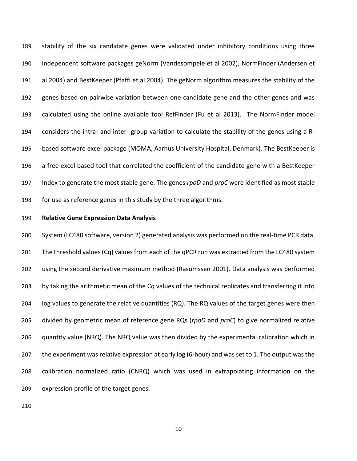stability of the six candidate genes were validated under inhibitory conditions using three independent software packages geNorm (Vandesompele et al 2002), NormFinder (Andersen et al 2004) and BestKeeper (Pfaffl et al 2004). The geNorm algorithm measures the stability of the genes based on pairwise variation between one candidate gene and the other genes and was calculated using the online available tool RefFinder (Fu et al 2013). The NormFinder model considers the intra- and inter- group variation to calculate the stability of the genes using a R- based software excel package (MOMA, Aarhus University Hospital, Denmark). The BestKeeper is a free excel based tool that correlated the coefficient of the candidate gene with a BestKeeper Index to generate the most stable gene. The genes *rpoD* and *proC* were identified as most stable for use as reference genes in this study by the three algorithms.

#### **Relative Gene Expression Data Analysis**

 System (LC480 software, version 2) generated analysis was performed on the real-time PCR data. The threshold values (Cq) values from each of the qPCR run was extracted from the LC480 system using the second derivative maximum method (Rasumssen 2001). Data analysis was performed by taking the arithmetic mean of the Cq values of the technical replicates and transferring it into log values to generate the relative quantities (RQ). The RQ values of the target genes were then divided by geometric mean of reference gene RQs (*rpoD* and *proC*) to give normalized relative quantity value (NRQ). The NRQ value was then divided by the experimental calibration which in the experiment was relative expression at early log (6-hour) and was set to 1. The output was the calibration normalized ratio (CNRQ) which was used in extrapolating information on the expression profile of the target genes.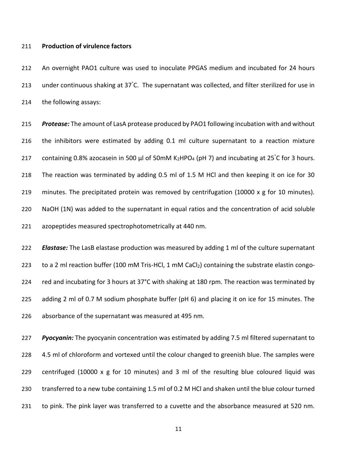#### **Production of virulence factors**

 An overnight PAO1 culture was used to inoculate PPGAS medium and incubated for 24 hours 213 under continuous shaking at 37°C. The supernatant was collected, and filter sterilized for use in the following assays:

 *Protease:* The amount of LasA protease produced by PAO1 following incubation with and without the inhibitors were estimated by adding 0.1 ml culture supernatant to a reaction mixture 217 containing 0.8% azocasein in 500 µl of 50mM K<sub>2</sub>HPO<sub>4</sub> (pH 7) and incubating at 25°C for 3 hours. The reaction was terminated by adding 0.5 ml of 1.5 M HCl and then keeping it on ice for 30 219 minutes. The precipitated protein was removed by centrifugation (10000 x g for 10 minutes). NaOH (1N) was added to the supernatant in equal ratios and the concentration of acid soluble azopeptides measured spectrophotometrically at 440 nm.

 *Elastase:* The LasB elastase production was measured by adding 1 ml of the culture supernatant 223 to a 2 ml reaction buffer (100 mM Tris-HCl, 1 mM CaCl<sub>2</sub>) containing the substrate elastin congo-224 red and incubating for 3 hours at 37°C with shaking at 180 rpm. The reaction was terminated by adding 2 ml of 0.7 M sodium phosphate buffer (pH 6) and placing it on ice for 15 minutes. The absorbance of the supernatant was measured at 495 nm.

 *Pyocyanin:* The pyocyanin concentration was estimated by adding 7.5 ml filtered supernatant to 4.5 ml of chloroform and vortexed until the colour changed to greenish blue. The samples were centrifuged (10000 x g for 10 minutes) and 3 ml of the resulting blue coloured liquid was transferred to a new tube containing 1.5 ml of 0.2 M HCl and shaken until the blue colour turned to pink. The pink layer was transferred to a cuvette and the absorbance measured at 520 nm.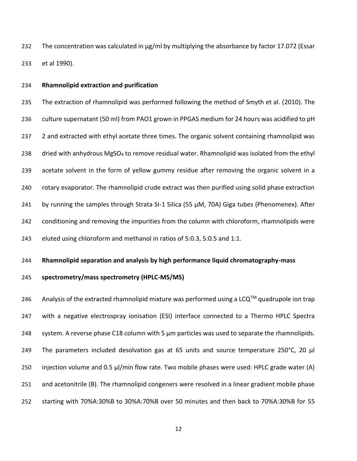232 The concentration was calculated in  $\mu$ g/ml by multiplying the absorbance by factor 17.072 (Essar et al 1990).

#### **Rhamnolipid extraction and purification**

 The extraction of rhamnolipid was performed following the method of Smyth et al. (2010). The culture supernatant (50 ml) from PAO1 grown in PPGAS medium for 24 hours was acidified to pH 237 2 and extracted with ethyl acetate three times. The organic solvent containing rhamnolipid was 238 dried with anhydrous MgSO<sub>4</sub> to remove residual water. Rhamnolipid was isolated from the ethyl acetate solvent in the form of yellow gummy residue after removing the organic solvent in a rotary evaporator. The rhamnolipid crude extract was then purified using solid phase extraction 241 by running the samples through Strata SI-1 Silica (55 µM, 70A) Giga tubes (Phenomenex). After conditioning and removing the impurities from the column with chloroform, rhamnolipids were eluted using chloroform and methanol in ratios of 5:0.3, 5:0.5 and 1:1.

#### **Rhamnolipid separation and analysis by high performance liquid chromatography-mass**

## **spectrometry/mass spectrometry (HPLC-MS/MS)**

246 Analysis of the extracted rhamnolipid mixture was performed using a LCQ<sup>TM</sup> quadrupole ion trap with a negative electrospray ionisation (ESI) interface connected to a Thermo HPLC Spectra 248 system. A reverse phase C18 column with 5  $\mu$ m particles was used to separate the rhamnolipids. 249 The parameters included desolvation gas at 65 units and source temperature 250°C, 20  $\mu$ 250 injection volume and 0.5 µl/min flow rate. Two mobile phases were used: HPLC grade water (A) and acetonitrile (B). The rhamnolipid congeners were resolved in a linear gradient mobile phase starting with 70%A:30%B to 30%A:70%B over 50 minutes and then back to 70%A:30%B for 55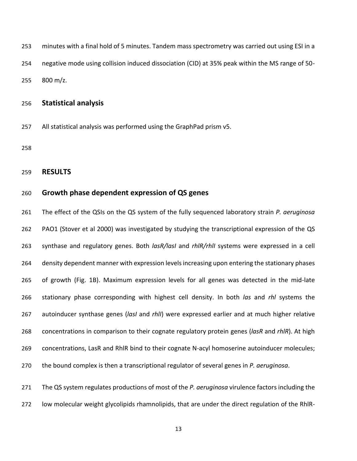minutes with a final hold of 5 minutes. Tandem mass spectrometry was carried out using ESI in a negative mode using collision induced dissociation (CID) at 35% peak within the MS range of 50- 800 m/z.

## **Statistical analysis**

All statistical analysis was performed using the GraphPad prism v5.

# **RESULTS**

# **Growth phase dependent expression of QS genes**

 The effect of the QSIs on the QS system of the fully sequenced laboratory strain *P. aeruginosa* PAO1 (Stover et al 2000) was investigated by studying the transcriptional expression of the QS synthase and regulatory genes. Both *lasR/lasI* and *rhlR/rhlI* systems were expressed in a cell density dependent manner with expression levels increasing upon entering the stationary phases of growth (Fig. 1B). Maximum expression levels for all genes was detected in the mid-late stationary phase corresponding with highest cell density. In both *las* and *rhl* systems the autoinducer synthase genes (*lasI* and *rhlI*) were expressed earlier and at much higher relative concentrations in comparison to their cognate regulatory protein genes (*lasR* and *rhlR*). At high concentrations, LasR and RhlR bind to their cognate N-acyl homoserine autoinducer molecules; the bound complex is then a transcriptional regulator of several genes in *P. aeruginosa*.

 The QS system regulates productions of most of the *P. aeruginosa* virulence factors including the low molecular weight glycolipids rhamnolipids, that are under the direct regulation of the RhlR-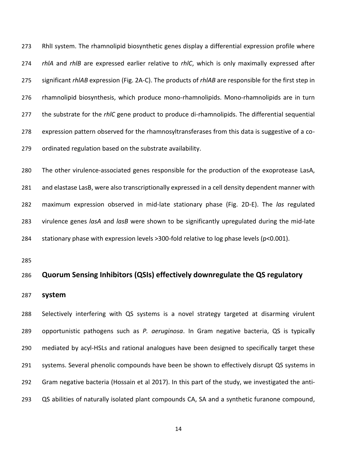RhlI system. The rhamnolipid biosynthetic genes display a differential expression profile where *rhlA* and *rhlB* are expressed earlier relative to *rhlC*, which is only maximally expressed after significant *rhlAB* expression (Fig. 2A-C). The products of *rhlAB* are responsible for the first step in rhamnolipid biosynthesis, which produce mono-rhamnolipids. Mono-rhamnolipids are in turn the substrate for the *rhlC* gene product to produce di-rhamnolipids. The differential sequential expression pattern observed for the rhamnosyltransferases from this data is suggestive of a co-ordinated regulation based on the substrate availability.

 The other virulence-associated genes responsible for the production of the exoprotease LasA, and elastase LasB, were also transcriptionally expressed in a cell density dependent manner with maximum expression observed in mid-late stationary phase (Fig. 2D-E). The *las* regulated virulence genes *lasA* and *lasB* were shown to be significantly upregulated during the mid-late 284 stationary phase with expression levels >300-fold relative to log phase levels (p<0.001).

# **Quorum Sensing Inhibitors (QSIs) effectively downregulate the QS regulatory**

**system**

 Selectively interfering with QS systems is a novel strategy targeted at disarming virulent opportunistic pathogens such as *P. aeruginosa*. In Gram negative bacteria, QS is typically mediated by acyl-HSLs and rational analogues have been designed to specifically target these systems. Several phenolic compounds have been be shown to effectively disrupt QS systems in Gram negative bacteria (Hossain et al 2017). In this part of the study, we investigated the anti-QS abilities of naturally isolated plant compounds CA, SA and a synthetic furanone compound,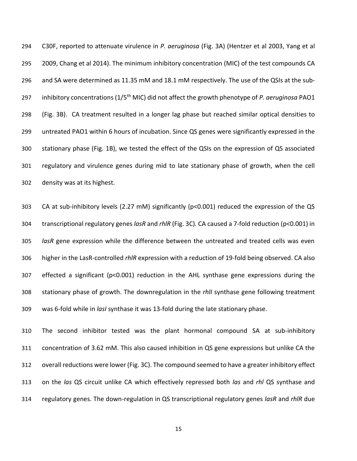C30F, reported to attenuate virulence in *P. aeruginosa* (Fig. 3A) (Hentzer et al 2003, Yang et al 2009, Chang et al 2014). The minimum inhibitory concentration (MIC) of the test compounds CA and SA were determined as 11.35 mM and 18.1 mM respectively. The use of the QSIs at the sub-297 inhibitory concentrations (1/5<sup>th</sup> MIC) did not affect the growth phenotype of *P. aeruginosa* PAO1 (Fig. 3B). CA treatment resulted in a longer lag phase but reached similar optical densities to untreated PAO1 within 6 hours of incubation. Since QS genes were significantly expressed in the stationary phase (Fig. 1B), we tested the effect of the QSIs on the expression of QS associated regulatory and virulence genes during mid to late stationary phase of growth, when the cell density was at its highest.

 CA at sub-inhibitory levels (2.27 mM) significantly (p<0.001) reduced the expression of the QS transcriptional regulatory genes *lasR* and *rhlR* (Fig. 3C)*.* CA caused a 7-fold reduction (p<0.001) in *lasR* gene expression while the difference between the untreated and treated cells was even higher in the LasR-controlled *rhlR* expression with a reduction of 19-fold being observed. CA also effected a significant (p<0.001) reduction in the AHL synthase gene expressions during the stationary phase of growth. The downregulation in the *rhlI* synthase gene following treatment was 6-fold while in *lasI* synthase it was 13-fold during the late stationary phase.

 The second inhibitor tested was the plant hormonal compound SA at sub-inhibitory concentration of 3.62 mM. This also caused inhibition in QS gene expressions but unlike CA the overall reductions were lower (Fig. 3C). The compound seemed to have a greater inhibitory effect on the *las* QS circuit unlike CA which effectively repressed both *las* and *rhl* QS synthase and regulatory genes. The down-regulation in QS transcriptional regulatory genes *lasR* and *rhlR* due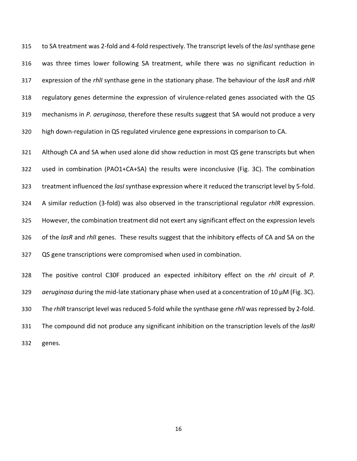to SA treatment was 2-fold and 4-fold respectively. The transcript levels of the *lasI* synthase gene was three times lower following SA treatment, while there was no significant reduction in expression of the *rhlI* synthase gene in the stationary phase. The behaviour of the *lasR* and *rhlR*  regulatory genes determine the expression of virulence-related genes associated with the QS mechanisms in *P. aeruginosa*, therefore these results suggest that SA would not produce a very high down-regulation in QS regulated virulence gene expressions in comparison to CA.

 Although CA and SA when used alone did show reduction in most QS gene transcripts but when used in combination (PAO1+CA+SA) the results were inconclusive (Fig. 3C). The combination treatment influenced the *lasI* synthase expression where it reduced the transcript level by 5-fold. A similar reduction (3-fold) was also observed in the transcriptional regulator *rhlR* expression. However, the combination treatment did not exert any significant effect on the expression levels of the *lasR* and *rhlI* genes. These results suggest that the inhibitory effects of CA and SA on the QS gene transcriptions were compromised when used in combination.

 The positive control C30F produced an expected inhibitory effect on the *rhl* circuit of *P. aeruginosa* during the mid-late stationary phase when used at a concentration of 10 µM (Fig. 3C). The *rhlR* transcript level was reduced 5-fold while the synthase gene *rhlI* was repressed by 2-fold. The compound did not produce any significant inhibition on the transcription levels of the *lasRI* genes.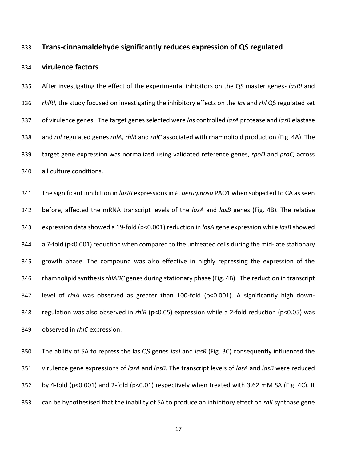# **Trans-cinnamaldehyde significantly reduces expression of QS regulated**

#### **virulence factors**

 After investigating the effect of the experimental inhibitors on the QS master genes- *lasRI* and *rhlRI,* the study focused on investigating the inhibitory effects on the *las* and *rhl* QS regulated set of virulence genes. The target genes selected were *las* controlled *lasA* protease and *lasB* elastase and *rhl* regulated genes *rhlA, rhlB* and *rhlC* associated with rhamnolipid production (Fig. 4A). The target gene expression was normalized using validated reference genes, *rpoD* and *proC,* across all culture conditions.

 The significant inhibition in *lasRI* expressions in *P. aeruginosa* PAO1 when subjected to CA as seen before, affected the mRNA transcript levels of the *lasA* and *lasB* genes (Fig. 4B)*.* The relative expression data showed a 19-fold (p<0.001) reduction in *lasA* gene expression while *lasB* showed a 7-fold (p<0.001) reduction when compared to the untreated cells during the mid-late stationary growth phase. The compound was also effective in highly repressing the expression of the rhamnolipid synthesis *rhlABC* genes during stationary phase (Fig. 4B). The reduction in transcript level of *rhlA* was observed as greater than 100-fold (p<0.001). A significantly high down- regulation was also observed in *rhlB* (p<0.05) expression while a 2-fold reduction (p<0.05) was observed in *rhlC* expression.

 The ability of SA to repress the las QS genes *lasI* and *lasR* (Fig. 3C) consequently influenced the virulence gene expressions of *lasA* and *lasB*. The transcript levels of *lasA* and *lasB* were reduced by 4-fold (p<0.001) and 2-fold (p<0.01) respectively when treated with 3.62 mM SA (Fig. 4C). It can be hypothesised that the inability of SA to produce an inhibitory effect on *rhlI* synthase gene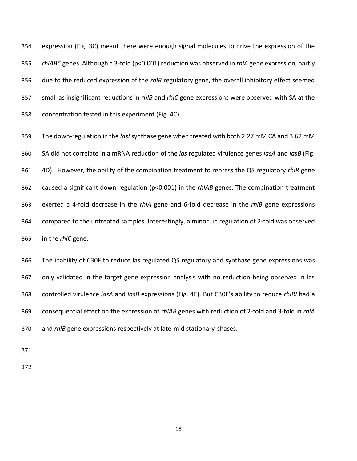expression (Fig. 3C) meant there were enough signal molecules to drive the expression of the *rhlABC* genes. Although a 3-fold (p<0.001) reduction was observed in *rhlA* gene expression, partly due to the reduced expression of the *rhlR* regulatory gene, the overall inhibitory effect seemed small as insignificant reductions in *rhlB* and *rhlC* gene expressions were observed with SA at the concentration tested in this experiment (Fig. 4C).

 The down-regulation in the *lasI* synthase gene when treated with both 2.27 mM CA and 3.62 mM SA did not correlate in a mRNA reduction of the *las* regulated virulence genes *lasA* and *lasB* (Fig. 4D). However, the ability of the combination treatment to repress the QS regulatory *rhlR* gene caused a significant down regulation (p<0.001) in the *rhlAB* genes. The combination treatment exerted a 4-fold decrease in the *rhlA* gene and 6-fold decrease in the *rhlB* gene expressions compared to the untreated samples. Interestingly, a minor up regulation of 2-fold was observed in the *rhlC* gene.

 The inability of C30F to reduce las regulated QS regulatory and synthase gene expressions was only validated in the target gene expression analysis with no reduction being observed in las controlled virulence *lasA* and *lasB* expressions (Fig. 4E). But C30F's ability to reduce *rhlRI* had a consequential effect on the expression of *rhlAB* genes with reduction of 2-fold and 3-fold in *rhlA*  and *rhlB* gene expressions respectively at late-mid stationary phases.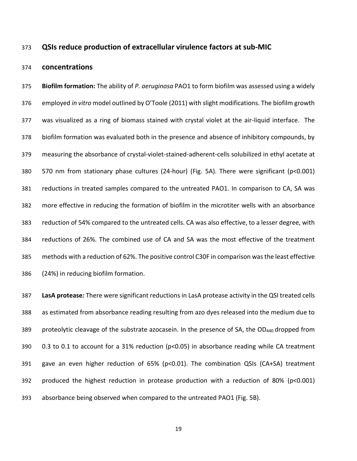## **QSIs reduce production of extracellular virulence factors at sub-MIC**

#### **concentrations**

 **Biofilm formation:** The ability of *P. aeruginosa* PAO1 to form biofilm was assessed using a widely employed *in vitro* model outlined by O'Toole (2011) with slight modifications. The biofilm growth was visualized as a ring of biomass stained with crystal violet at the air-liquid interface. The biofilm formation was evaluated both in the presence and absence of inhibitory compounds, by measuring the absorbance of crystal-violet-stained-adherent-cells solubilized in ethyl acetate at 570 nm from stationary phase cultures (24-hour) (Fig. 5A). There were significant (p<0.001) reductions in treated samples compared to the untreated PAO1. In comparison to CA, SA was more effective in reducing the formation of biofilm in the microtiter wells with an absorbance reduction of 54% compared to the untreated cells. CA was also effective, to a lesser degree, with reductions of 26%. The combined use of CA and SA was the most effective of the treatment methods with a reduction of 62%. The positive control C30F in comparison was the least effective (24%) in reducing biofilm formation.

 **LasA protease***:* There were significant reductions in LasA protease activity in the QSI treated cells as estimated from absorbance reading resulting from azo dyes released into the medium due to 389 proteolytic cleavage of the substrate azocasein. In the presence of SA, the OD<sub>440</sub> dropped from 390 0.3 to 0.1 to account for a 31% reduction (p<0.05) in absorbance reading while CA treatment 391 gave an even higher reduction of 65% (p<0.01). The combination QSIs (CA+SA) treatment produced the highest reduction in protease production with a reduction of 80% (p<0.001) absorbance being observed when compared to the untreated PAO1 (Fig. 5B).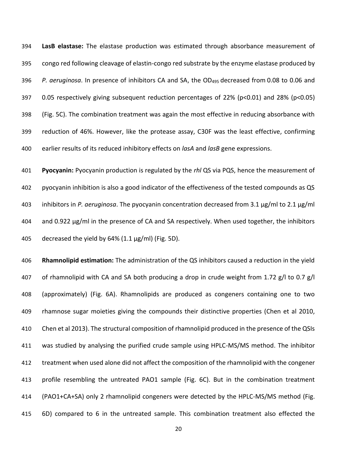**LasB elastase:** The elastase production was estimated through absorbance measurement of congo red following cleavage of elastin-congo red substrate by the enzyme elastase produced by *P. aeruginosa*. In presence of inhibitors CA and SA, the OD<sup>495</sup> decreased from 0.08 to 0.06 and 0.05 respectively giving subsequent reduction percentages of 22% (p<0.01) and 28% (p<0.05) (Fig. 5C). The combination treatment was again the most effective in reducing absorbance with reduction of 46%. However, like the protease assay, C30F was the least effective, confirming earlier results of its reduced inhibitory effects on *lasA* and *lasB* gene expressions.

 **Pyocyanin:** Pyocyanin production is regulated by the *rhl* QS via PQS, hence the measurement of pyocyanin inhibition is also a good indicator of the effectiveness of the tested compounds as QS inhibitors in *P. aeruginosa*. The pyocyanin concentration decreased from 3.1 µg/ml to 2.1 µg/ml and 0.922 µg/ml in the presence of CA and SA respectively. When used together, the inhibitors decreased the yield by 64% (1.1 µg/ml) (Fig. 5D).

 **Rhamnolipid estimation:** The administration of the QS inhibitors caused a reduction in the yield 407 of rhamnolipid with CA and SA both producing a drop in crude weight from 1.72 g/l to 0.7 g/l (approximately) (Fig. 6A). Rhamnolipids are produced as congeners containing one to two rhamnose sugar moieties giving the compounds their distinctive properties (Chen et al 2010, Chen et al 2013). The structural composition of rhamnolipid produced in the presence of the QSIs was studied by analysing the purified crude sample using HPLC-MS/MS method. The inhibitor treatment when used alone did not affect the composition of the rhamnolipid with the congener profile resembling the untreated PAO1 sample (Fig. 6C). But in the combination treatment (PAO1+CA+SA) only 2 rhamnolipid congeners were detected by the HPLC-MS/MS method (Fig. 6D) compared to 6 in the untreated sample. This combination treatment also effected the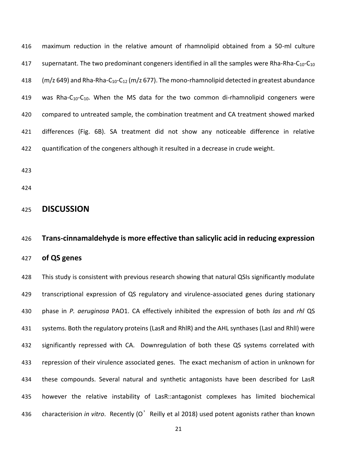maximum reduction in the relative amount of rhamnolipid obtained from a 50-ml culture 417 supernatant. The two predominant congeners identified in all the samples were Rha-Rha-C<sub>10</sub>-C<sub>10</sub>  $(m/z 649)$  and Rha-Rha-C<sub>10</sub>-C<sub>12</sub> (m/z 677). The mono-rhamnolipid detected in greatest abundance 419 was Rha- $C_{10}$ - $C_{10}$ . When the MS data for the two common di-rhamnolipid congeners were compared to untreated sample, the combination treatment and CA treatment showed marked differences (Fig. 6B). SA treatment did not show any noticeable difference in relative quantification of the congeners although it resulted in a decrease in crude weight.

- 
- 

# **DISCUSSION**

# **Trans-cinnamaldehyde is more effective than salicylic acid in reducing expression**

## **of QS genes**

 This study is consistent with previous research showing that natural QSIs significantly modulate transcriptional expression of QS regulatory and virulence-associated genes during stationary phase in *P. aeruginosa* PAO1. CA effectively inhibited the expression of both *las* and *rhl* QS systems. Both the regulatory proteins (LasR and RhlR) and the AHL synthases (LasI and RhlI) were significantly repressed with CA. Downregulation of both these QS systems correlated with repression of their virulence associated genes. The exact mechanism of action in unknown for these compounds. Several natural and synthetic antagonists have been described for LasR however the relative instability of LasR::antagonist complexes has limited biochemical characterision *in vitro*. Recently (O'Reilly et al 2018) used potent agonists rather than known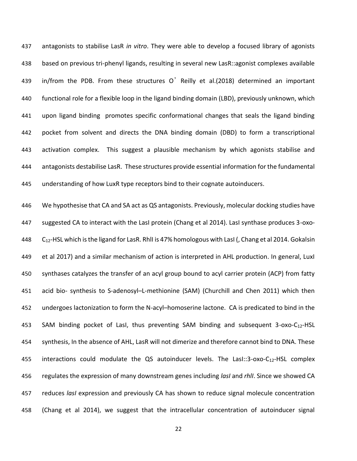antagonists to stabilise LasR *in vitro*. They were able to develop a focused library of agonists based on previous tri-phenyl ligands, resulting in several new LasR::agonist complexes available in/from the PDB. From these structures O'Reilly et al.(2018) determined an important functional role for a flexible loop in the ligand binding domain (LBD), previously unknown, which upon ligand binding promotes specific conformational changes that seals the ligand binding pocket from solvent and directs the DNA binding domain (DBD) to form a transcriptional activation complex. This suggest a plausible mechanism by which agonists stabilise and antagonists destabilise LasR. These structures provide essential information for the fundamental understanding of how LuxR type receptors bind to their cognate autoinducers.

 We hypothesise that CA and SA act as QS antagonists. Previously, molecular docking studies have suggested CA to interact with the LasI protein (Chang et al 2014). LasI synthase produces 3-oxo- $C_{12}$ -HSL which is the ligand for LasR. RhlI is 47% homologous with LasI (, Chang et al 2014. Gokalsin et al 2017) and a similar mechanism of action is interpreted in AHL production. In general, LuxI synthases catalyzes the transfer of an acyl group bound to acyl carrier protein (ACP) from fatty acid bio- synthesis to S-adenosyl–L-methionine (SAM) (Churchill and Chen 2011) which then undergoes lactonization to form the N-acyl–homoserine lactone. CA is predicated to bind in the 453 SAM binding pocket of LasI, thus preventing SAM binding and subsequent -oxo-C<sub>12</sub>-HSL synthesis, In the absence of AHL, LasR will not dimerize and therefore cannot bind to DNA. These 455 interactions could modulate the QS autoinducer levels. The LasI::3-oxo-C<sub>12</sub>-HSL complex regulates the expression of many downstream genes including *lasI* and *rhlI*. Since we showed CA reduces *lasI* expression and previously CA has shown to reduce signal molecule concentration (Chang et al 2014), we suggest that the intracellular concentration of autoinducer signal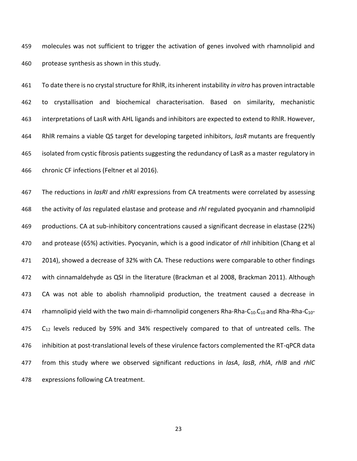molecules was not sufficient to trigger the activation of genes involved with rhamnolipid and protease synthesis as shown in this study.

 To date there is no crystal structure for RhlR, its inherent instability *in vitro* has proven intractable to crystallisation and biochemical characterisation. Based on similarity, mechanistic interpretations of LasR with AHL ligands and inhibitors are expected to extend to RhlR. However, RhlR remains a viable QS target for developing targeted inhibitors, *lasR* mutants are frequently isolated from cystic fibrosis patients suggesting the redundancy of LasR as a master regulatory in chronic CF infections (Feltner et al 2016).

 The reductions in *lasRI* and *rhlRI* expressions from CA treatments were correlated by assessing the activity of *las* regulated elastase and protease and *rhl* regulated pyocyanin and rhamnolipid productions. CA at sub-inhibitory concentrations caused a significant decrease in elastase (22%) and protease (65%) activities. Pyocyanin, which is a good indicator of *rhlI* inhibition (Chang et al 2014), showed a decrease of 32% with CA. These reductions were comparable to other findings with cinnamaldehyde as QSI in the literature (Brackman et al 2008, Brackman 2011). Although CA was not able to abolish rhamnolipid production, the treatment caused a decrease in 474 rhamnolipid yield with the two main di-rhamnolipid congeners Rha-Rha-C<sub>10</sub>-C<sub>10</sub> and Rha-Rha-C<sub>10</sub>-  $C_{12}$  levels reduced by 59% and 34% respectively compared to that of untreated cells. The inhibition at post-translational levels of these virulence factors complemented the RT-qPCR data from this study where we observed significant reductions in *lasA*, *lasB*, *rhlA*, *rhlB* and *rhlC* expressions following CA treatment.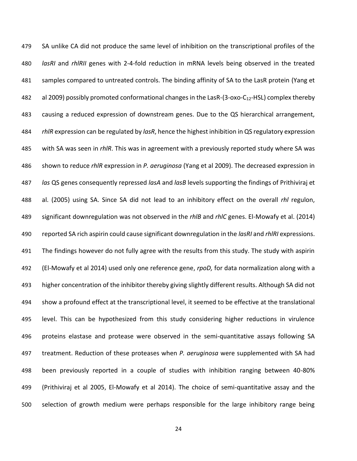SA unlike CA did not produce the same level of inhibition on the transcriptional profiles of the *lasRI* and *rhlRII* genes with 2-4-fold reduction in mRNA levels being observed in the treated 481 samples compared to untreated controls. The binding affinity of SA to the LasR protein (Yang et 482 al 2009) possibly promoted conformational changes in the LasR-(3-oxo-C<sub>12</sub>-HSL) complex thereby causing a reduced expression of downstream genes. Due to the QS hierarchical arrangement, *rhlR* expression can be regulated by *lasR*, hence the highest inhibition in QS regulatory expression with SA was seen in *rhlR*. This was in agreement with a previously reported study where SA was shown to reduce *rhlR* expression in *P. aeruginosa* (Yang et al 2009). The decreased expression in *las* QS genes consequently repressed *lasA* and *lasB* levels supporting the findings of Prithiviraj et al. (2005) using SA. Since SA did not lead to an inhibitory effect on the overall *rhl* regulon, significant downregulation was not observed in the *rhlB* and *rhlC* genes. El-Mowafy et al. (2014) reported SA rich aspirin could cause significant downregulation in the *lasRI* and *rhlRI* expressions. The findings however do not fully agree with the results from this study. The study with aspirin (El-Mowafy et al 2014) used only one reference gene, *rpoD,* for data normalization along with a higher concentration of the inhibitor thereby giving slightly different results. Although SA did not show a profound effect at the transcriptional level, it seemed to be effective at the translational level. This can be hypothesized from this study considering higher reductions in virulence proteins elastase and protease were observed in the semi-quantitative assays following SA treatment. Reduction of these proteases when *P. aeruginosa* were supplemented with SA had been previously reported in a couple of studies with inhibition ranging between 40-80% (Prithiviraj et al 2005, El-Mowafy et al 2014). The choice of semi-quantitative assay and the selection of growth medium were perhaps responsible for the large inhibitory range being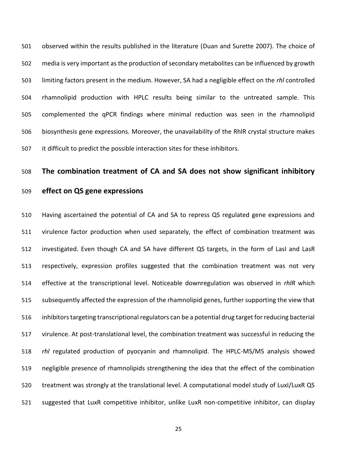observed within the results published in the literature (Duan and Surette 2007). The choice of media is very important as the production of secondary metabolites can be influenced by growth limiting factors present in the medium. However, SA had a negligible effect on the *rhl* controlled rhamnolipid production with HPLC results being similar to the untreated sample. This complemented the qPCR findings where minimal reduction was seen in the rhamnolipid biosynthesis gene expressions. Moreover, the unavailability of the RhlR crystal structure makes it difficult to predict the possible interaction sites for these inhibitors.

# **The combination treatment of CA and SA does not show significant inhibitory**

# **effect on QS gene expressions**

 Having ascertained the potential of CA and SA to repress QS regulated gene expressions and virulence factor production when used separately, the effect of combination treatment was investigated. Even though CA and SA have different QS targets, in the form of LasI and LasR respectively, expression profiles suggested that the combination treatment was not very effective at the transcriptional level. Noticeable downregulation was observed in *rhlR* which subsequently affected the expression of the rhamnolipid genes, further supporting the view that inhibitors targeting transcriptional regulators can be a potential drug target for reducing bacterial virulence. At post-translational level, the combination treatment was successful in reducing the *rhl* regulated production of pyocyanin and rhamnolipid. The HPLC-MS/MS analysis showed negligible presence of rhamnolipids strengthening the idea that the effect of the combination treatment was strongly at the translational level. A computational model study of LuxI/LuxR QS suggested that LuxR competitive inhibitor, unlike LuxR non-competitive inhibitor, can display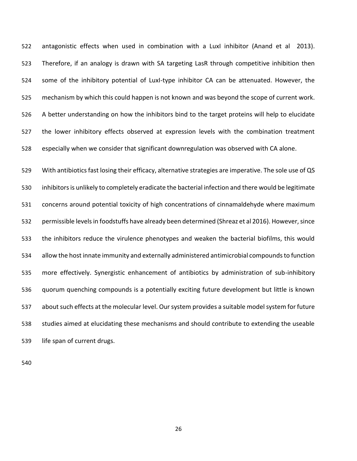antagonistic effects when used in combination with a LuxI inhibitor (Anand et al 2013). Therefore, if an analogy is drawn with SA targeting LasR through competitive inhibition then some of the inhibitory potential of LuxI-type inhibitor CA can be attenuated. However, the mechanism by which this could happen is not known and was beyond the scope of current work. A better understanding on how the inhibitors bind to the target proteins will help to elucidate the lower inhibitory effects observed at expression levels with the combination treatment especially when we consider that significant downregulation was observed with CA alone.

 With antibiotics fast losing their efficacy, alternative strategies are imperative. The sole use of QS inhibitors is unlikely to completely eradicate the bacterial infection and there would be legitimate concerns around potential toxicity of high concentrations of cinnamaldehyde where maximum permissible levels in foodstuffs have already been determined (Shreaz et al 2016). However, since the inhibitors reduce the virulence phenotypes and weaken the bacterial biofilms, this would allow the host innate immunity and externally administered antimicrobial compounds to function more effectively. Synergistic enhancement of antibiotics by administration of sub-inhibitory quorum quenching compounds is a potentially exciting future development but little is known about such effects at the molecular level. Our system provides a suitable model system for future studies aimed at elucidating these mechanisms and should contribute to extending the useable life span of current drugs.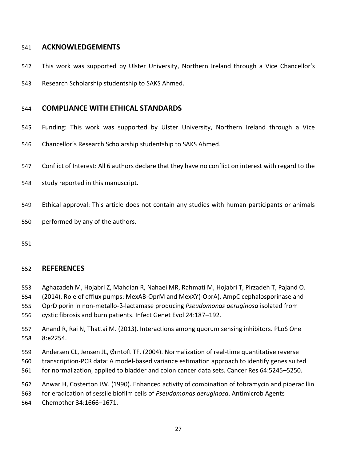# **ACKNOWLEDGEMENTS**

- This work was supported by Ulster University, Northern Ireland through a Vice Chancellor's
- Research Scholarship studentship to SAKS Ahmed.

# **COMPLIANCE WITH ETHICAL STANDARDS**

- Funding: This work was supported by Ulster University, Northern Ireland through a Vice
- Chancellor's Research Scholarship studentship to SAKS Ahmed.
- Conflict of Interest: All 6 authors declare that they have no conflict on interest with regard to the
- study reported in this manuscript.
- Ethical approval: This article does not contain any studies with human participants or animals
- performed by any of the authors.
- 

# **REFERENCES**

- Aghazadeh M, Hojabri Z, Mahdian R, Nahaei MR, Rahmati M, Hojabri T, Pirzadeh T, Pajand O.
- (2014). Role of efflux pumps: MexAB-OprM and MexXY(-OprA), AmpC cephalosporinase and
- OprD porin in non-metallo-β-lactamase producing *Pseudomonas aeruginosa* isolated from
- cystic fibrosis and burn patients. Infect Genet Evol 24:187–192.
- Anand R, Rai N, Thattai M. (2013). Interactions among quorum sensing inhibitors. PLoS One 8:e2254.
- Andersen CL, Jensen JL, Ørntoft TF. (2004). Normalization of real-time quantitative reverse
- transcription-PCR data: A model-based variance estimation approach to identify genes suited
- for normalization, applied to bladder and colon cancer data sets. Cancer Res 64:5245–5250.
- Anwar H, Costerton JW. (1990). Enhanced activity of combination of tobramycin and piperacillin
- for eradication of sessile biofilm cells of *Pseudomonas aeruginosa*. Antimicrob Agents
- Chemother 34:1666–1671.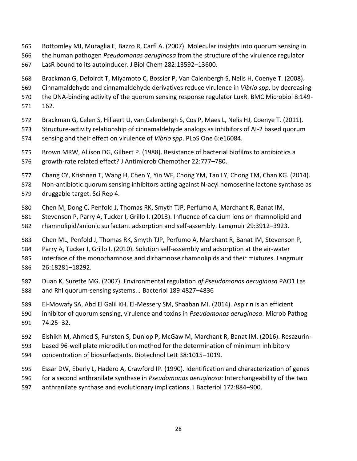- Bottomley MJ, Muraglia E, Bazzo R, Carfì A. (2007). Molecular insights into quorum sensing in
- the human pathogen *Pseudomonas aeruginosa* from the structure of the virulence regulator
- LasR bound to its autoinducer. J Biol Chem 282:13592–13600.
- Brackman G, Defoirdt T, Miyamoto C, Bossier P, Van Calenbergh S, Nelis H, Coenye T. (2008).
- Cinnamaldehyde and cinnamaldehyde derivatives reduce virulence in *Vibrio spp*. by decreasing
- the DNA-binding activity of the quorum sensing response regulator LuxR. BMC Microbiol 8:149-
- 162.
- Brackman G, Celen S, Hillaert U, van Calenbergh S, Cos P, Maes L, Nelis HJ, Coenye T. (2011).
- Structure-activity relationship of cinnamaldehyde analogs as inhibitors of AI-2 based quorum sensing and their effect on virulence of *Vibrio spp*. PLoS One 6:e16084.
- Brown MRW, Allison DG, Gilbert P. (1988). Resistance of bacterial biofilms to antibiotics a
- growth-rate related effect? J Antimicrob Chemother 22:777–780.
- Chang CY, Krishnan T, Wang H, Chen Y, Yin WF, Chong YM, Tan LY, Chong TM, Chan KG. (2014).
- Non-antibiotic quorum sensing inhibitors acting against N-acyl homoserine lactone synthase as druggable target. Sci Rep 4.
- Chen M, Dong C, Penfold J, Thomas RK, Smyth TJP, Perfumo A, Marchant R, Banat IM,
- Stevenson P, Parry A, Tucker I, Grillo I. (2013). Influence of calcium ions on rhamnolipid and
- rhamnolipid/anionic surfactant adsorption and self-assembly. Langmuir 29:3912–3923.
- Chen ML, Penfold J, Thomas RK, Smyth TJP, Perfumo A, Marchant R, Banat IM, Stevenson P,
- Parry A, Tucker I, Grillo I. (2010). Solution self-assembly and adsorption at the air-water
- interface of the monorhamnose and dirhamnose rhamnolipids and their mixtures. Langmuir 26:18281–18292.
- Duan K, Surette MG. (2007). Environmental regulation *of Pseudomonas aeruginosa* PAO1 Las and Rhl quorum-sensing systems. J Bacteriol 189:4827–4836
- El-Mowafy SA, Abd El Galil KH, El-Messery SM, Shaaban MI. (2014). Aspirin is an efficient
- inhibitor of quorum sensing, virulence and toxins in *Pseudomonas aeruginosa*. Microb Pathog 74:25–32.
- Elshikh M, Ahmed S, Funston S, Dunlop P, McGaw M, Marchant R, Banat IM. (2016). Resazurin-
- based 96-well plate microdilution method for the determination of minimum inhibitory
- concentration of biosurfactants. Biotechnol Lett 38:1015–1019.
- Essar DW, Eberly L, Hadero A, Crawford IP. (1990). Identification and characterization of genes
- for a second anthranilate synthase in *Pseudomonas aeruginosa*: Interchangeability of the two
- anthranilate synthase and evolutionary implications. J Bacteriol 172:884–900.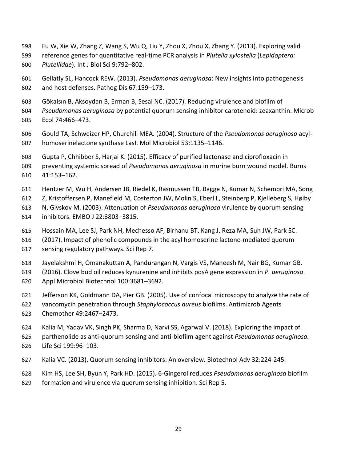- Fu W, Xie W, Zhang Z, Wang S, Wu Q, Liu Y, Zhou X, Zhou X, Zhang Y. (2013). Exploring valid
- reference genes for quantitative real-time PCR analysis in *Plutella xylostella* (*Lepidoptera: Plutellidae*). Int J Biol Sci 9:792–802.
- Gellatly SL, Hancock REW. (2013). *Pseudomonas aeruginosa*: New insights into pathogenesis and host defenses. Pathog Dis 67:159–173.
- Gökalsın B, Aksoydan B, Erman B, Sesal NC. (2017). Reducing virulence and biofilm of
- *Pseudomonas aeruginosa* by potential quorum sensing inhibitor carotenoid: zeaxanthin. Microb Ecol 74:466–473.
- Gould TA, Schweizer HP, Churchill MEA. (2004). Structure of the *Pseudomonas aeruginosa* acyl-homoserinelactone synthase LasI. Mol Microbiol 53:1135–1146.
- Gupta P, Chhibber S, Harjai K. (2015). Efficacy of purified lactonase and ciprofloxacin in
- preventing systemic spread of *Pseudomonas aeruginosa* in murine burn wound model. Burns 41:153–162.
- Hentzer M, Wu H, Andersen JB, Riedel K, Rasmussen TB, Bagge N, Kumar N, Schembri MA, Song
- Z, Kristoffersen P, Manefield M, Costerton JW, Molin S, Eberl L, Steinberg P, Kjelleberg S, Høiby
- N, Givskov M. (2003). Attenuation of *Pseudomonas aeruginosa* virulence by quorum sensing
- inhibitors. EMBO J 22:3803–3815.
- Hossain MA, Lee SJ, Park NH, Mechesso AF, Birhanu BT, Kang J, Reza MA, Suh JW, Park SC.
- (2017). Impact of phenolic compounds in the acyl homoserine lactone-mediated quorum
- sensing regulatory pathways. Sci Rep 7.
- Jayelakshmi H, Omanakuttan A, Pandurangan N, Vargis VS, Maneesh M, Nair BG, Kumar GB.
- (2016). Clove bud oil reduces kynurenine and inhibits pqsA gene expression in *P. aeruginosa*.
- Appl Microbiol Biotechnol 100:3681–3692.
- Jefferson KK, Goldmann DA, Pier GB. (2005). Use of confocal microscopy to analyze the rate of
- vancomycin penetration through *Staphylococcus aureus* biofilms. Antimicrob Agents
- Chemother 49:2467–2473.
- Kalia M, Yadav VK, Singh PK, Sharma D, Narvi SS, Agarwal V. (2018). Exploring the impact of
- parthenolide as anti-quorum sensing and anti-biofilm agent against *Pseudomonas aeruginosa.* Life Sci 199:96–103.
- Kalia VC. (2013). Quorum sensing inhibitors: An overview. Biotechnol Adv 32:224-245.
- Kim HS, Lee SH, Byun Y, Park HD. (2015). 6-Gingerol reduces *Pseudomonas aeruginosa* biofilm
- formation and virulence via quorum sensing inhibition. Sci Rep 5.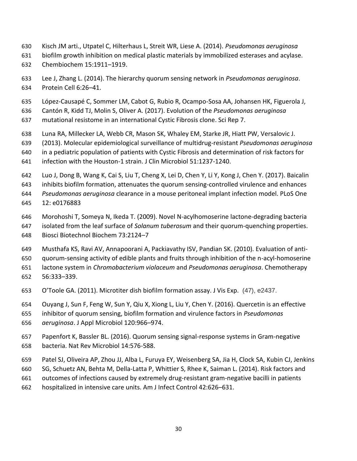- Kisch JM arti., Utpatel C, Hilterhaus L, Streit WR, Liese A. (2014). *Pseudomonas aeruginosa*
- biofilm growth inhibition on medical plastic materials by immobilized esterases and acylase.
- Chembiochem 15:1911–1919.
- Lee J, Zhang L. (2014). The hierarchy quorum sensing network in *Pseudomonas aeruginosa*. Protein Cell 6:26–41.
- López-Causapé C, Sommer LM, Cabot G, Rubio R, Ocampo-Sosa AA, Johansen HK, Figuerola J,
- Cantón R, Kidd TJ, Molin S, Oliver A. (2017). Evolution of the *Pseudomonas aeruginosa*
- mutational resistome in an international Cystic Fibrosis clone. Sci Rep 7.
- Luna RA, Millecker LA, Webb CR, Mason SK, Whaley EM, Starke JR, Hiatt PW, Versalovic J.
- (2013). Molecular epidemiological surveillance of multidrug-resistant *Pseudomonas aeruginosa*
- in a pediatric population of patients with Cystic Fibrosis and determination of risk factors for
- infection with the Houston-1 strain. J Clin Microbiol 51:1237-1240.
- Luo J, Dong B, Wang K, Cai S, Liu T, Cheng X, Lei D, Chen Y, Li Y, Kong J, Chen Y. (2017). Baicalin
- inhibits biofilm formation, attenuates the quorum sensing-controlled virulence and enhances
- *Pseudomonas aeruginosa* clearance in a mouse peritoneal implant infection model. PLoS One 12: e0176883
- 
- Morohoshi T, Someya N, Ikeda T. (2009). Novel N-acylhomoserine lactone-degrading bacteria
- isolated from the leaf surface of *Solanum tuberosum* and their quorum-quenching properties. Biosci Biotechnol Biochem 73:2124–7
- Musthafa KS, Ravi AV, Annapoorani A, Packiavathy ISV, Pandian SK. (2010). Evaluation of anti-
- quorum-sensing activity of edible plants and fruits through inhibition of the n-acyl-homoserine
- lactone system in *Chromobacterium violaceum* and *Pseudomonas aeruginosa*. Chemotherapy
- 56:333–339.
- O'Toole GA. (2011). Microtiter dish biofilm formation assay. J Vis Exp. (47), e2437.
- Ouyang J, Sun F, Feng W, Sun Y, Qiu X, Xiong L, Liu Y, Chen Y. (2016). Quercetin is an effective
- inhibitor of quorum sensing, biofilm formation and virulence factors in *Pseudomonas*
- *aeruginosa*. J Appl Microbiol 120:966–974.
- Papenfort K, Bassler BL. (2016). Quorum sensing signal-response systems in Gram-negative bacteria. Nat Rev Microbiol 14:576-588.
- Patel SJ, Oliveira AP, Zhou JJ, Alba L, Furuya EY, Weisenberg SA, Jia H, Clock SA, Kubin CJ, Jenkins
- SG, Schuetz AN, Behta M, Della-Latta P, Whittier S, Rhee K, Saiman L. (2014). Risk factors and
- outcomes of infections caused by extremely drug-resistant gram-negative bacilli in patients
- hospitalized in intensive care units. Am J Infect Control 42:626–631.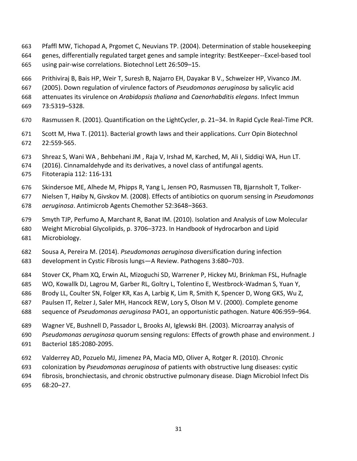- Pfaffl MW, Tichopad A, Prgomet C, Neuvians TP. (2004). Determination of stable housekeeping
- genes, differentially regulated target genes and sample integrity: BestKeeper--Excel-based tool using pair-wise correlations. Biotechnol Lett 26:509–15.
- Prithiviraj B, Bais HP, Weir T, Suresh B, Najarro EH, Dayakar B V., Schweizer HP, Vivanco JM.
- (2005). Down regulation of virulence factors of *Pseudomonas aeruginosa* by salicylic acid
- attenuates its virulence on *Arabidopsis thaliana* and *Caenorhabditis elegans*. Infect Immun
- 73:5319–5328.
- Rasmussen R. (2001). Quantification on the LightCycler, p. 21–34. In Rapid Cycle Real-Time PCR.
- Scott M, Hwa T. (2011). Bacterial growth laws and their applications. Curr Opin Biotechnol 22:559-565.
- Shreaz S, Wani WA , Behbehani JM , Raja V, Irshad M, Karched, M, Ali I, Siddiqi WA, Hun LT.
- (2016). Cinnamaldehyde and its derivatives, a novel class of antifungal agents.
- Fitoterapia 112: 116-131
- Skindersoe ME, Alhede M, Phipps R, Yang L, Jensen PO, Rasmussen TB, Bjarnsholt T, Tolker-
- Nielsen T, Høiby N, Givskov M. (2008). Effects of antibiotics on quorum sensing in *Pseudomonas*
- *aeruginosa*. Antimicrob Agents Chemother 52:3648–3663.
- Smyth TJP, Perfumo A, Marchant R, Banat IM. (2010). Isolation and Analysis of Low Molecular
- Weight Microbial Glycolipids, p. 3706–3723. In Handbook of Hydrocarbon and Lipid
- Microbiology.
- Sousa A, Pereira M. (2014). *Pseudomonas aeruginosa* diversification during infection development in Cystic Fibrosis lungs—A Review. Pathogens 3:680–703.
- Stover CK, Pham XQ, Erwin AL, Mizoguchi SD, Warrener P, Hickey MJ, Brinkman FSL, Hufnagle
- WO, Kowallk DJ, Lagrou M, Garber RL, Goltry L, Tolentino E, Westbrock-Wadman S, Yuan Y,
- Brody LL, Coulter SN, Folger KR, Kas A, Larbig K, Lim R, Smith K, Spencer D, Wong GKS, Wu Z,
- Paulsen IT, Relzer J, Saler MH, Hancock REW, Lory S, Olson M V. (2000). Complete genome
- sequence of *Pseudomonas aeruginosa* PAO1, an opportunistic pathogen. Nature 406:959–964.
- Wagner VE, Bushnell D, Passador L, Brooks AI, Iglewski BH. (2003). Microarray analysis of
- *Pseudomonas aeruginosa* quorum sensing regulons: Effects of growth phase and environment. J Bacteriol 185:2080-2095.
- Valderrey AD, Pozuelo MJ, Jimenez PA, Macia MD, Oliver A, Rotger R. (2010). Chronic
- colonization by *Pseudomonas aeruginosa* of patients with obstructive lung diseases: cystic
- fibrosis, bronchiectasis, and chronic obstructive pulmonary disease. Diagn Microbiol Infect Dis
- 68:20–27.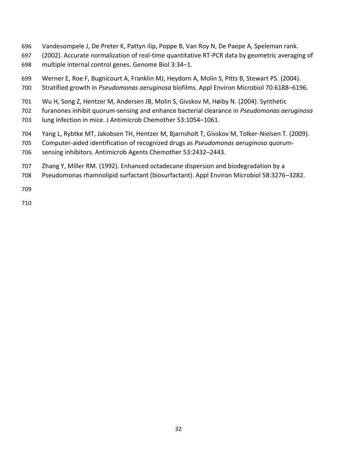- Vandesompele J, De Preter K, Pattyn ilip, Poppe B, Van Roy N, De Paepe A, Speleman rank.
- (2002). Accurate normalization of real-time quantitative RT-PCR data by geometric averaging of multiple internal control genes. Genome Biol 3:34–1.
- Werner E, Roe F, Bugnicourt A, Franklin MJ, Heydorn A, Molin S, Pitts B, Stewart PS. (2004).
- Stratified growth in *Pseudomonas aeruginosa* biofilms. Appl Environ Microbiol 70:6188–6196.
- Wu H, Song Z, Hentzer M, Andersen JB, Molin S, Givskov M, Høiby N. (2004). Synthetic
- furanones inhibit quorum-sensing and enhance bacterial clearance in *Pseudomonas aeruginosa*
- lung infection in mice. J Antimicrob Chemother 53:1054–1061.
- Yang L, Rybtke MT, Jakobsen TH, Hentzer M, Bjarnsholt T, Givskov M, Tolker-Nielsen T. (2009).
- Computer-aided identification of recognized drugs as *Pseudomonas aeruginosa* quorum-sensing inhibitors. Antimicrob Agents Chemother 53:2432–2443.
- Zhang Y, Miller RM. (1992). Enhanced octadecane dispersion and biodegradation by a
- Pseudomonas rhamnolipid surfactant (biosurfactant). Appl Environ Microbiol 58:3276–3282.
-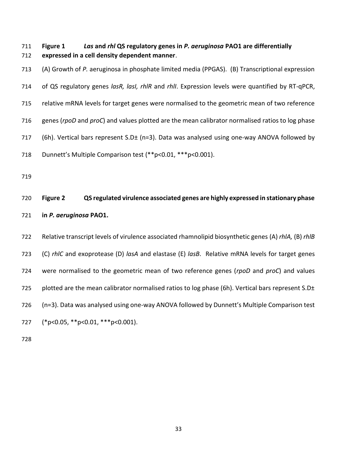- **Figure 1** *Las* **and** *rhl* **QS regulatory genes in** *P. aeruginosa* **PAO1 are differentially expressed in a cell density dependent manner**.
- (A) Growth of *P.* aeruginosa in phosphate limited media (PPGAS). (B) Transcriptional expression of QS regulatory genes *lasR, lasI, rhlR* and *rhlI*. Expression levels were quantified by RT-qPCR, relative mRNA levels for target genes were normalised to the geometric mean of two reference genes (*rpoD* and *proC*) and values plotted are the mean calibrator normalised ratios to log phase 717 (6h). Vertical bars represent S.D± (n=3). Data was analysed using one-way ANOVA followed by Dunnett's Multiple Comparison test (\*\*p<0.01, \*\*\*p<0.001).
- 

# **Figure 2 QS regulated virulence associated genes are highly expressed in stationary phase in** *P. aeruginosa* **PAO1.**

- Relative transcript levels of virulence associated rhamnolipid biosynthetic genes (A) *rhlA,* (B) *rhlB*  (C) *rhlC* and exoprotease (D) *lasA* and elastase (E) *lasB*. Relative mRNA levels for target genes were normalised to the geometric mean of two reference genes (*rpoD* and *proC*) and values 725 plotted are the mean calibrator normalised ratios to log phase (6h). Vertical bars represent S.D± (n=3). Data was analysed using one-way ANOVA followed by Dunnett's Multiple Comparison test (\*p<0.05, \*\*p<0.01, \*\*\*p<0.001).
-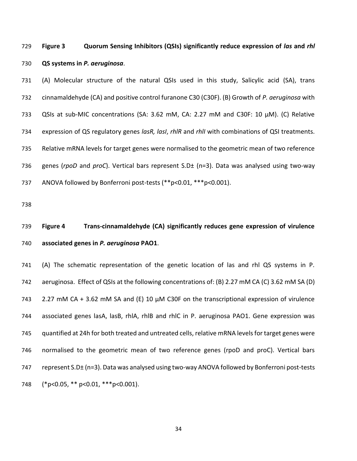# **Figure 3 Quorum Sensing Inhibitors (QSIs) significantly reduce expression of** *las* **and** *rhl*  **QS systems in** *P. aeruginosa*.

 (A) Molecular structure of the natural QSIs used in this study, Salicylic acid (SA), trans cinnamaldehyde (CA) and positive control furanone C30 (C30F). (B) Growth of *P. aeruginosa* with QSIs at sub-MIC concentrations (SA: 3.62 mM, CA: 2.27 mM and C30F: 10 µM). (C) Relative expression of QS regulatory genes *lasR, lasI*, *rhlR* and *rhlI* with combinations of QSI treatments. Relative mRNA levels for target genes were normalised to the geometric mean of two reference genes (*rpoD* and *proC*). Vertical bars represent S.D± (n=3). Data was analysed using two-way ANOVA followed by Bonferroni post-tests (\*\*p<0.01, \*\*\*p<0.001).

# **Figure 4 Trans-cinnamaldehyde (CA) significantly reduces gene expression of virulence associated genes in** *P. aeruginosa* **PAO1**.

 (A) The schematic representation of the genetic location of las and rhl QS systems in P. aeruginosa. Effect of QSIs at the following concentrations of: (B) 2.27 mM CA (C) 3.62 mM SA (D) 2.27 mM CA + 3.62 mM SA and (E) 10 µM C30F on the transcriptional expression of virulence associated genes lasA, lasB, rhlA, rhlB and rhlC in P. aeruginosa PAO1. Gene expression was quantified at 24h for both treated and untreated cells, relative mRNA levels for target genes were normalised to the geometric mean of two reference genes (rpoD and proC). Vertical bars 747 represent S.D± (n=3). Data was analysed using two-way ANOVA followed by Bonferroni post-tests (\*p<0.05, \*\* p<0.01, \*\*\*p<0.001).